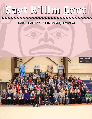# **Sayt K'ilim Goot**

March - April 2017 /// NLG Monthly Newsletter

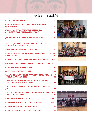### **What's Inside**

#### *president 's message 3*

*Nisga'a settlement trust: nisga'a museum contribution 4*

*Nisga'a lisims government recognizes administrative professionals day 5*

*job and training fair in gitwinksihlkw 6*

#### *2017 nisga'a elders & youth forum 'Bridging the generations' a Huge success 7*

*NVHA Family Conference 2017 a success 8*

*provincial election bc voting opportunities in the*  **NASS VALLEY** 

*updated cultur al calendar avail able on website 9*

*EMERGENCY PREPAREDNESS & HEALTH & SAFETY WEEK 10* 

*international women's day 11*

*lukw 'il a a m k aisha woods 12*

*te anna ducharme gives testimony before the house of commons Committee 12*

*GREENVILLE TIMBERWOLVES 17&U GIRLS WIN THE Championship at the jr. ANBT 13* 

*kristy innes going to the Indigenous g a mes in june 14*

*halibut and pr awn licence and quota inform ation appplic ation to le ase 15*

| <b>EMPLOYMENT OPPORTUNITIES</b> | 16-18 |
|---------------------------------|-------|
|                                 |       |

*nlg march 2017 executive resolutions 19-21*

*NLG March 2017 WSN Resolutions 22*

*NLG April 2017 Executive Resolutions 23*







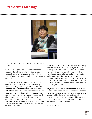# **President's Message**



Hasagay' ni dim k'ax ksi-magahl wilaa hihl goodiy' as n'isim'

On behalf of Nisga'a Lisims Government and the Executive, I would like to take this time to extend our condolences to the grieving families within the Nisga'a Nation, our thoughts and prayers are with you at this time.

As you may know, March and April of 2017 turned out to be a great one for NLG staff and the Nisga'a People in moving forward together. Frontline workers put forth great effort to bring you the 2017 Youth & Elders Conference. This conference has given NLG an opportunity to work directly with the Nisga'a People and as a result, we now have an advantage and a clear direction to aim towards revitalization and restoration of the Nisga'a Language, Culture, and Traditional Practices. There is still a lot of work to do in this area. It is only with the help of all the Nisga'a People, we will make this happen.

As for the April event, Nisga'a Valley Health Authority partnered with NLG, NCFS, and many other entities to bring you the 2017 Family Conference. The frontline workers facilitated many modern and up to date workshops and presentations gathered from stats and great research. In doing so, they incorporated traditional and cultural practices right into health on a whole new level bringing forth their absolute best and will only continue to make deep impact for the People. True Saksgum Gandidils.

As you may have seen, there has been a lot of young Nisga'a ambassadors making headlines, traveling the world, representing colors in sports tournaments, and leading healthy lifestyles. Keep up the great work, train hard, we will continue to stand behind you in all that you do, and be sure to bring your story home to inspire the upcoming generations.

Si'aamhl wilsim!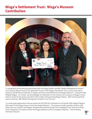### **Nisga'a Settlement Trust: Nisga'a Museum Contribution**



"In recognition of the enduring partnership with the Nisga'a Nation and RBC Wealth Management Estate & Trust Services (Royal Trust) as the appointed Trustee of the Nisga'a Settlement Trust, we are honoured to provide a \$20,000.00 contribution in support of future achievements by the Nisga'a Museum - Hli Goothl Wilp-Adokshl Nisga'a. As Trustee, we acknowledge the importance of the museum as a treasury of Nisga'a culture which is central to the power and spirit of the modern self-governing Nisga'a Nation. With sincere gratitude – Leanne Kaufman, RBC Wealth Management Estate & Trust Services "

"It is with great appreciation that we receive the \$20,000.00 contribution to Hli Goothl Wilp-Adokshl Nisga'a (The Heart of the Nisga'a House Crests) the Nisga'a Museum. The museum houses priceless artifacts that reflect the rich culture of the Nisga'a; therefore we welcome the gift from Aboriginal Trust Services of Royal Trust Corporation of Canada to assist the Nisga'a Museum with its strategic initiatives." Corinne McKay, Secretary Treasurer.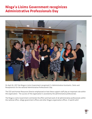## **Nisga'a Lisims Government recoginizes Administrative Professionals Day**



On April 26, 2017 the Nisga'a Lisims Government recognized it's Administrative Assistants, Clerks and Receptionists for the national Administrative Professional's Day.

The CEO and Human Resources Director emphasized on how these support staff play an important role within the organization. The success of the organization is assisted by the administrative professionals.

The Nisga'a Lisims Government commends the effort and hard work of all administrative professionals within the national office, village government offices and other Nisga'a organization offices. Si'aamhl wilin!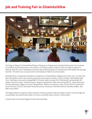# **Job and Training Fair in Gitwinksihlkw**



The Nisga'a Village of Gitwinksihlkw/Nisga'a Pathways to Employment and New Relationship Trust teamed up to deliver this one day event to the citizens of the Nass valley in order for them to explore options of training. Work BC was in attendance and they were exploring options of employment with people who brought resumes. The event was a success and we are looking to make it an annual event.

Rochelle Moore, Employment Readiness Coordinator of Gitwinksihlkw Village Government says "we had more than 100 people come to the job and training fair and vendors included : Hecate straight, New Relationship Trust, Northwest community college(NWCC), Kitimat Valley Institute (KVI), Northwest training &Work BC, Skeena Technical School, Transformations, Nisga'a Employment Skills and Training (NEST), Castle Resourcesmining exploration, Nisga'a Economic Development, Kleanza consulting, Tricorp, Terrace District Community Service Society (TDCSS), Kermode Friendship society, University of Northern British Columbia (UNBC), and Metis association."

The Nisga'a Nation recognizes these intiatives as being a positive step for Nisga'a citizens and encourages all to participate and attend these public functions to possibly spike interest in career paths.

Si'aamhl wilin to all those Nisga'a Citizens that attended!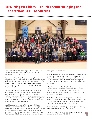### **2017 Nisga'a Elders & Youth Forum 'Bridging the Generations' a Huge Success**



The Council of Elders hosted a Nisga'a Elders & Youth Forum themed 'Bridging the Generations' in the Nisga'a Village of Laxgalts'ap on March 14, 15 & 16, 2017.

Panel and break out discussions were primarily focused on Nisga'a Language, Culture and History. The 2.5 day forum began with Chairperson – Council of Elders Sim'oogit Ni'isyuus, Willard Martin's presentation of his Draft Strategic Plan for Reviving, Teaching and Sustaining the Nisga'a Language Culture and Traditional Practices.

Two breakout sessions took place where participants could entertain detailed discussions and ideas, suggestions and concerns were shared. First on 'Why Nisga'a Language & Culture is Important' and second a tribal breakout session where simgigat, sigidimhaanak' and youth openly discussed Lip Wilaa Loom - Our way of life. 1 elder and 1 youth then reported back highlights from their respective groups.

Special presentations included 'Taking Nisga'a Spirituality Abroad!' by Nisga'a youth Brenna Doolan & Leilani Wright who provided an inspiring overview of their journey to Africa and their plans of re-visiting Africa in the near future. Dr. Amy Parent, also provided a well-received presentation, 'Surviving & Thriving: Your Educational & Life Journey' that was both motivating and

inspiring for all in attendance.

Based on the grave concern on the potential of Nisga'a language, culture and customs becoming extinct – a Nisga'a Elders & Youth resolution was entertained that provided direction to the Chairperson for the Council of Elders to introduce the potential loss as an urgent matter at Wilp Si'ayuukhl Nisga'a (WSN) later this month.

In her closing remarks, President Eva Clayton who was in attendance for the duration of the forum said, "The Nisga'a language is the basis of our culture, and the land is the foundation of our culture." She went on to conclude, "Without this, we have no identity."

While Nisga'a athletes participating in the JR. All Native Basketball Tournament in Kelowna were invited for participation, introductions and a blessing during the forum, teams from Laxgalts'ap and Gitlaxt'aamiks were in attendance.

Approximately one hundred Nisga'a Elders registered each day, with the same amount of youth and adults.

For photos of the forum, visit our photo album at: http:// nisgaanation.zenfolio.com/f91409715 <sup>7</sup>

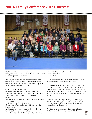### **NVHA Family Conference 2017 a success!**



The Nisga'a Valley Health Authority hosted its first ever Family Conference in Gitwinksihlkw, BC from April 5-7, 2017. "Wila yeehl Gandidils Hlgutk'ihlkw"

The 3 day conference included welcome address from Gitwinksihlkw Chief Councillor Charles Morven, opening remarks by NVHA CEO Julia Adams and keynote speaker Sim'oogit Hleek - Dr. Joseph Gosnell.

Other discussion topics included:

•Role of Wilksilaks by Verna Williams/ Rosie Robinson •From Spirit World to Birth by Emma Nyce/ Irene Robinson •From Child to Adult Y'askw by Hester McKay/ Chester Moore

•The Importance of Algax by Dr. Joseph Gosnell/ Alice Azak •Pre-Post Natal

•Addictions - Nisga'a Crisis Response

•Strengthening Families Together - Mental Health by Noreen Spence

•Violence against women in relationship by Millie Percival / Faith Tait (NLG Access to Justice Dept)

•Youth Sexual Safety (Child Exploitation) by Millie Percival

/ Faith Tait (NLG Access to Justice Dept) •Suicide Prevention •Sexual Abuse

The music students of Gitwinksihlkw Elementary School performed on Day 2 as lunch entertainment.

The NVHA Family Conference was to share information to promote and enhance personal and family wellness through Nisga'a traditional cultural practices. This was also a great event for organizations to come together to discuss and share health and wellness concerns that impact the nation.

Please click this link to view the photos from all 3 days http://nisgaanation.zenfolio.com/f328423674. A final video production will follow and be published for public viewing in the weeks to come.

The Nisga'a Nation commends Nisga'a Valley Health Authority for a job well done, Si'aamhl Wilin! 8

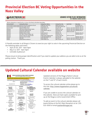### **Provincial Election BC Voting Opportunities in the Nass Valley**

**SELECTIONS BC** A non-partisan Office of the Legislature

#### ADVANCE VOTING PLACE INFORMATION 2017 PROVINCIAL GENERAL ELECTION

| <b>Electoral District</b>     | <b>Volvos Place Name</b>               | Voting Hace Address       | <b>Voling Place City</b> | <b>April Dates</b>                   | <b>May Dates</b>  |
|-------------------------------|----------------------------------------|---------------------------|--------------------------|--------------------------------------|-------------------|
| Saanich North and the Islands | Saanich Peninsula Presbyterian Church. | 9296 East Saanich Rd      | North Searich, BC        |                                      | Fri-Sat May 5-6   |
| Saarich North and the Islands | Sait Spring Elem School                | 122 Rainbow Rd            | Sait Spring Island, BC   |                                      | Wed-Sat, May 3-6  |
| Searsch South                 | Glanford Middle School                 | 4140 Glanford Are         | Saanich, BC              | Sat-Sun, Apr 29-30                   | Wed-Sat. May 3-6  |
| Shymoap                       | 3th Avenue Seriors Activity Centre     | 170 5 Ave 5E              | Salmon Arm, BC           | Sat-Sun, Apr 29-30                   | Vied-Sat, May 3-6 |
| Shimula                       | Armstrong Centennual Hall              | 3305 Pleasant Valley Rd   | Armstrong, BC            | Sat-Sun, Apr 29-30 Wed-Sat, May 3-6  |                   |
| Shumuan                       | <b>Clesset Coup Rac Cantre</b>         | 1 53 N                    | Vernon, RC               | Sat-Sun, Apr 29-30                   |                   |
| Shun-ap                       | Enderby Server's Certre                | 1101 George St            | Enderby, BC              |                                      | Wed-Sat, May 3-6  |
| Shusuap                       | Our Lady of Fatirna Catholic Hall      | 705 Cherry Ave            | Scarvous, BC             |                                      | Wed-Sat, May 34.  |
| Shotnieg                      | Scotch Greek-Lee Creek Fire Hall       | 3852 Squilax-Anglemont Rd | Scotch Creek, BC         | Sat Suit, Apr 29-30                  |                   |
| Shutviap                      | Sorrento Drop In Society               | 1145 Passchendaele Rd     | Sorrento, BC             |                                      | Vied-Sat. May 3-6 |
| Skeena                        | Ellis Hall                             | 2822 Teblauk St           | Terrace, BC              | Sat-Sun, Apr 29-30                   | Wed-Sat, May 3-6  |
| Skeens                        | Gitlayt's amily Auditorium             | 5200 Skateen Ave.         | New Alvanch, BC          | Sat-Sun, Apr 29-30   Rri-Sat May 5-6 |                   |

A friendly reminder to all Nisga'a Citizens to exercise your right to vote in the upcoming Provincial Election on the following dates and times:

- April 29-30, 2017 8am-8pm
- May 5-6, 5017 8am-8pm
- Gitmidiik Auditorium

Please ensure to bring proper identification and if you need to update your address you are able to do so at the polling station. Thank you.

#### 

### **Updated Cultural Calendar available on website**



Updated versions of the Nisga'a Nation Cultural Events Calendar is always uploaded to the website on the 1<sup>st</sup> and 15<sup>th</sup> of each month.

To access the cultural calendar online please go to this link: http://www.nisgaanation.ca/culturalcalendar

If you are unable to access the cultural calendar on the website, there are hard copies available for pickup at the Nisga'a Lisims Government Office.

To add an event to the cultural calender please call Joanie McKay at the NLG Main Reception at tel: 250- 633-3000 or email joaniem@nisgaa.net.

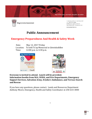



1 250 633 3000 / F 250 633 2367 T# 1866 633 0888 PO Box 231 / 2000 Lisims Dr New Aiyansh BC / Canada voj 1A0

**NISCAANATION.CA** 

### **Public Announcement**

### **Emergency Preparedness And Health & Safety Week**

Date: May 12, 2017 Friday<br>Location: Ts'oohl Ts'ap Memor Location: Ts'oohl Ts'ap Memorial in Gitwinksihlkw<br>Time: 12:00 p.m. to 4:30 p.m.  $12:00$  p.m. to  $4:30$  p.m.





### **Everyone is invited to attend. Lunch will be provided. Information booths from NLG, NVHA, and Fire Departments, Emergency Support Services, Salvation Army, St John's Ambulance, and Terrace Search and Rescue**

If you have any questions, please contact: Lands and Resources Department Anthony Moore, Emergency, Health and Safety Coordinator at 250-633-3000

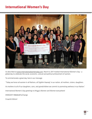### **International Women's Day**



As described at www.internationalwomensday.com, March 8, 2017 marked International Women's Day - a global day to celebrate the social, economic, cultural and political achievement of women.

To commemorate a great day, here is our message:

"Today we honor all women in all Nations, all Sigidim Haanak' in our nation, all mothers, sisters, daughters.

As mothers to all of our daughters, sons, and grandchildren we commit to promoting wellness in our Nation."

International Women's Day greetings to Nisga'a Women and Women everywhere!

#IWD2017 #BeBoldForChange

Si'aamhl Wilsim'

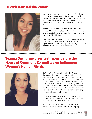### **Lukw'il Aam Kaisha Woods!**



Kaisha Woods was recently selected out of 23 applicants to be a representative of the UBC Okanogan Austraila Program Ambassador. Kaisha is in her 3rd year of Forensic Psychology before she receives her degree at UBC - Okanogan but has been attending the UBC for a total of 4 years.

Kaisha is the daughter of Bertram Mercer and Cheryl Woods of Gitlaxt'aamiks but resides in Kelowna, BC where is currently studying. She is from the Ganada Pdeek and hails from Wilps Niis Joohl.

The Nisga'a Nation commends Kaisha on a job well done with her continued studies and her recent opportunity to represent not only UBC Okanogan but the Nisga'a Nation as an Ambassador. Si'aamhl Wilin Kaisha!

#### 

### **Teanna Ducharme gives testimony before the House of Commons Committee on Indigenous Women's Human Rights**



On March 7, 2017 - Ayagadim Majagalee, Teanna Ducharme a delegate of the Daughters of the Vote for the Skeena-Bulkley Valley gave a powerful testimony before the House of Commons commitee on Indigenous Womens Human Rights. Teanna works as an Aboriginal Intern with the Government of BC's Ministry of Children and Family Development. Teanna's previous position was the NLG Youth Organizing Youth Coordinator in which she provided our Nisga'a Youth with encouraging leadership and instilled a great deal of pride.

The Nisga'a Nation recognizes Teanna's passion for Indigenous sovereignty, women and children's rights and empowerment. Si'aamhl Wilin Teanna!

Please click this link to watch Teanna's full speech https://www.youtube.com/watch?v=NY6iCvp7Ibg

Information on Daughters of the Vote and Teanna's biography - http://www.daughtersofthevote.ca/17515

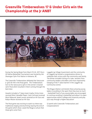## **Greenville Timberwolves 17 & Under Girls win the Championship at the Jr ANBT**



During the Spring Break from March 19-24, 2017 the Jr. All Native Basketball Tournament was hosted by the Okanogan Sylix First Nation in Kelowna, BC.

The Greenville Timberwolves defeated the Vancouver Jr. girls 83-49 in the final game. The Timberwolves lost to the Vancouver Jr girls in the winner's bracket semi-final which resulted in them coming through the back door.

Awards included a 1<sup>st</sup> place team trophy, Kristy Innes received Most Valuable Player, Carly Cochrane received Most Rebound, Jewel Lesson received an All-Star and Robyn Moore received an All-Star.

The final game was exciting to watch as there was traditional singing and drumming nearing the end of the game which show-cased the Nisga'a culture that these girls come from.

Laxgalts'ap Village Government and the community of Laxgalts'ap hosted a congratulatory dinner to celebrate their victory with the community and family. The dinner included cutting of a cake, remarks from community leaders and elders and most importantly hanging of the 1<sup>st</sup> place banner in the Laxgalts'ap Community Centre.

The Nisga'a Nation commends these amazing young ladies in excelling in the sport that they love so much - basketball! Each of you young ladies are encouraged to continue excelling in basketball and allow it to open opportunities within Colllege and University and play your way through a higher education!

Si'aamhl wilin Greenville Timberwolves and Congratulations!

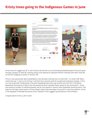# **Kristy Innes going to the Indigenous Games in June**



Kristy Innes of Laxgalts'ap, BC is only 14 years old and she is an outstanding basketball player! Kristy has gone through 2 phases of Team BC training camps to be selected to represent British Columbia with 16&U Team BC at the 2017 Indigenous Games in Toronto, ON.

Kristy is very passionate about basketball as she has been training since a small child. In a recent CBC News article she says "*I want to be the best*" and that she is proving with her exceptional experience already. Kristy is on the Greenville Timberwolves 17&U girls basketball team who had recently won the 2017 Jr All Native Basketball Tournament in March and she earned the Most Valuable Player award at this tournament. Kristy also earned a number of individual awards and all-star awards in various other basketball sporting events. She plays for the high school teams in Prince Rupert where they have been successful in zone tournaments. Kristy is the daughter of Randall and Janine Innes, Randall is from Laxgalts'ap and Janine is from Kitkatla.

Congratulations Kristy, Lukw'il aam!

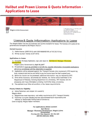### **Halibut and Prawn License & Quota Information - Applications to Lease**



Nisga'a Lisims Government

T 250 633 3000 / F 250 633 2367 SBBQ £53 338 F 17 PO Box 231 / 2000 Lisims Dr New Alyansh BC / Canada voi 1AD NISCAANATION.CA

15

### Licence & Quota Information-Applications to Lease

The Nisga'a Nation has two (2) licenses and quota available for lease. The licenses and quota will be governed and managed by the Nisga'a Nation.

#### **Current licenses**

- 1) Halibut license (I265 2015) with 0.001468908219% of TAC (9.2131bs)
- 2) Shrimp by trawl license (S 237 2015)

#### Applications to lease

1) Complete the lease Application, sign, and return to: Bert Mercer, Manager / Economic Development,

Nisga'a Lisims Government by April 18, 2017

- 2) All applications must be completed in full with the required information. Incomplete applications will not be considered until the information is supplied.
- 3) Applications will be assessed against the Transport Canada video requirement, DFO require log book, access to bait and ice and ability to pay the license lease fee that is agreed upon
- 4) Before the license can be processed, additional information may be required by DFO
- 5) Once all the necessary documents are received, the license will be submitted to the Department of Fisheries, licensing Department for processing. DFO requires time for processing and if any information is missing, it will further delay processing.
- 6) The applicant must follow all conditions of the lease requirements

#### Priority Criteria for Eligibility:

- a) Active Fisherman and skipper of a vessel b) Nisga'a citizen
- c) Skipper/crew meet regulatory and safety requirements (DFO, Transport Canada)
- d) Fisherman is in good standing and has demonstrated fiscal responsibility and Adheres to Responsible Fishing Code of Conduct e)

Crew is majority Nisga'a Nation members

For applications please contact: **Bert Mercer** Manager / Economic Development, Nisga'a Lisims Government P.O. Box 231, New Alyansh, B.C. VOJ IAO 250-633-3000 (Ext. 3066)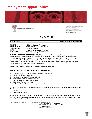### **Employment Opportunities**





Nisga'a Lisims Government

1 250 633 3000 / # 250 633 2357 TF 1866 633 0888 PO Box 231 / 2000 Lisims Dr New Alyansh BC / Canada voj tao

NISCAANATION.CA

#### **J O B P O S T I N G**

**POSTED: April 10, 2017 CLOSES: May 12, 2017 @ 5:00 pm**

| <b>POSITION:</b>     | Fisheries Biologist/Technician     |
|----------------------|------------------------------------|
| <b>SALARY RANGE:</b> | Commensurate with qualifications   |
| <b>SUPERVISOR:</b>   | <b>Fisheries Manager</b>           |
| <b>HOURS:</b>        | Seasonal (Averaging Agreement)     |
| <b>LOCATION:</b>     | Meziadin Fishway, British Columbia |
|                      |                                    |

**NATURE AND SCOPE OF POSITION:** The Nisga'a Fisheries Program includes yearly research and monitoring of fish stocks and habitat. This position will be based out of a remote facility at the Meziadin Fishway from late June to October. The position requires experience in identifying salmon species and the accurate collection of field fisheries data**.** The individual should be highly motivated and able to work independently and available to work odd hours and on the weekends. The successful applicant should be comfortable with working in an isolated environment.

#### **IMPACT OF ERROR:** The impact or error is significant to the Nation.

#### **KNOWLEDGE, SKILLS, ABILITIES & OTHER ATTRIBUTES:**

- 1. Bachelor's degree or diploma in fisheries science is preferred;
- 2. Previous fisheries experience;
- 3. Proficiency with Microsoft Word and Excel;
- 4. Reliable transportation to and from work;
- 5. Valid Level 1 First Aid Ticket is an asset;
- 6. MED A3 certification is an asset;
- 7. Swiftwater Rescue Technician training is an asset.

If you are interested in this employment opportunity please send a resume package that includes the following:

- 1. Cover Letter
- 2. Resume
- 3. 3 work related reference

Applicants are requested to submit resume package describing their qualifications. Resumes packages must be received prior to **5:00 pm on May 12, 2017**. We thank all applicants for their interest, however, only those selected for an interview will be contacted.

ALL RESUME PACKAGES MAY BE DIRECTED TO: Nisga'a Lisims Government

 Attention: Human Resource Department P.O. BOX 231, Gitlaxt'aamiks, B.C., V0J 1A0 Fax Number: 250-633-2367 Email: hrdept@nisgaa.net

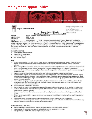### **Employment Opportunities**





T 250 633 1000 / F 250 633 2367 TF 1866 633 0888 PD Box 231 / 2000 Lisims Dr New Aiyansh BC / Canada voj 1A0

NISCAANATION.CA

**Summer Student Job Posting** Posted: April 24, 2017

**Closes: May 10, 2017** Museum Interprefer - Nisga'a Museum (positions) POSITION: SALARY RANGE: \$15.00 per hour **SUPERVISOR:** Museum Curator HOURS: 35 hours per week TERM: Seasonal (Young Canadian Works Program) LOCATION: Laxgalts'ap BC

JOB SUMMARY: This is public contact and derical work of some complexity performed in support of the Nisga'a Museum. An employee of this dass provides information to the public about Museum exhibitions and programs and provides general clerical support to Museum staff. Interpreters are the public face of the Nisga'a Museum who, through the research and delivery of various programs, facilitate an educational and safe environment for visitors to explore Nisga'a culture, history and the heart of the Nisga'a Nation. Hours of work and duties may vary depending on operational. requirements.

#### **MAIN RESPONSIBILITIES:**

- Visitor Experience and Visitor Services
- Programming and Special Events
- Administration/Reporting
- Other Duties as assigned.

#### Duties:

- . Provides routine information to the public in person, through tours and inquiries, and via telephone or e-mail regarding Museum exhibitions, programs and special events. Maintain current knowledge about educational programs, exhibits, special events, and other visitor related information.
- . Monitor the Nisga'a Museum floor during opening hours with an approachable and knowledgeable presence; offer guided tours and explanation of exhibits. Listen to customer compleints and ideas, take necessary action and forward all comments and concerns to appropriate staff.
- Communicate all relevant information regarding Nisga'a Museum procedures, expectations and services effectively with co-workers, visitors, public ٠ and peers as required.
- . Prepare program and activity materials, assemble supplies, set up and announce public programs to visitors as scheduled.
- . Interpret and deliver programs and activities while ensuring group safety and appropriate curriculum links when applicable. Present the programs and activities in a manner that is educational, creative, and age appropriate. With guidance, deliver programming, induding day activities, special events and outreach that incorporate Nisga'a Museum's Mission. Ensure content accuracy and age appropriateness of programs and activities that achere to pre-determined themes.
- . Sets up and lears down program infrastructure (chairs, tables, etc.).Opens/doses Museum in compliance with established guidelines. Conduct procedural safety checks on the Nisga'a Museum floors and exhibits to ensure all is operating and functioning properly to facilitate safe and enjoyable interaction between visitors and exhibits.
- $\bullet$ Support and assist in "Special Projects" as assigned.
- · Ensure all reports, i.e. meeting minutes, proposals, program descriptions, weekend comments, expenses, etc. are submitted in a timely manner.
- Assists with Museum research and assist with the preparation of didactic materials. Assists with the creation of the Museum database, entering  $\bullet$ artefacts and new acquisitions as needed.
- · Operates a variety of common office appliances such as computer terminals, photocopiers, fax machines, and cash registers and Transelect machines.
- · Maintains various departmental files, prepares routine correspondence and reports, maintains office supplies; performs related typing and derical work as required.
- · Processes payments for gift shop seles; balances daily cash and credit card receipts; prepares cash reports and deposits.
- As required, enforces rules and regulations regarding the proper use of the facility. Enforce and comply with all the Nisga'a Museum's Emergency Response Plan procedures and complete incident/accident reports as required.

#### KNOWLEDGE / SKILLS / ABILITIES:

- Prefer sound knowledge of museum facilities, programs, and special events as they relate to the work performed.
- Sound knowledge of modern office procedures and business English, spelling, punctuation and arithmetic.
- Working knowledge of cash handling and payment processing procedures.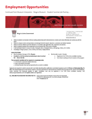# **Employment Opportunities**

Continued from Museum Interpretor - Nisga'a Museum - Student Summer Job Posting.....





Nisga'a Lisims Government

T 250 633 3000 / F 250 633 2367 TF 1 866 633 0888 PO Box 231 / 2000 Lisims Dr New Aiyansh BC / Canada voj 1A0

#### NISCAANATION.CA

- Ability to establish and maintain effective working relationships with internal/external contacts and to deal effectively and courteously with the public.
- Ability to compose routine correspondence and arrange format for reports, tabulation, summaries and related materials. ٠
- . Ability to exercise initiative and make decisions in accordance with applicable rules, regulations and policies.
- . Ability to operate standard office equipment and use standard MS Office suite of software.
- A demonstrated interest in museum studies, Aboriginal culture, Aboriginal history, anthropology, history, art or similar;
- Knowledge of Nisga'a people, culture, territory and history is highly desired.

#### QUALIFICATIONS:

- Must be between that ages of 16 29 years; ۰
- . Enrolled in a full time school and planning to return to school full time in the fall:
- The successful candidate will be required to completelprovide:
	- · 2 recent work or personal related references;
	- · Copy of educational transcripts
	- . Criminal Records Check will be required by the successful candidate.
- Must be able to work in Canada;
	- Registered in the YCW on-line candidate inventory;  $\bullet$
	- Committed to working for the full duration of the program

Applicants are required to submit a resume with cover letter describing their qualifications and related experience prior to 5:00 pm on Wednesday May 10, 2017. We thank all applicants for their interest, however, only those selected for an interview will be contacted. We encourage women, persons with disabilities, visible minorities and Aboriginal peoples to apply. Candidates must also be registered in the YCW online candidate inventory. Visit www.youngcanadaworks.ca for all eligibility details and registration.

ALL RESUME PACKAGES MAY BE DIRECTED TO: Nisga'a Lisims Government Attention: Human Resources Department P.O. BOX 231, Gita/Eaamks, B.C., V0J 1A0 Fax Number: 250-633-2367 Email: hrdept@nisgaa.net

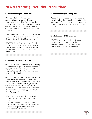### **NLG March 2017 Executive Resolutions**

#### **Resolution 2017/15/ March 22, 2017**

CONSIDERING THAT Mr. Art Mercer was appointed by resolution 2015 I 31 as a representative of the Nisga'a Nation on the Tribal Resources Investment Corporation Board of Directors (the "TRICORP Board") for a term commencing April 1,2015 and expiring on March 31, 2018;

AND CONSIDERING FURTHER THAT Mr. Mercer has provided notice of his resignation from the TRICORP Board effective March 14, 2017;

MOVED THAT the Executive appoint Franklin Alexcee to serve as a representative from the Nisga'a Nation on the TRICORP Board for the term expiring on March 31, 2018, commencing immediately.

#### **Resolution 2017/16/ March 23, 2017**

CONSIDERING THAT under the Fiscal Financing Agreement the Nisga'a Nation has undertaken to pay Medical Services Plan premiums for all Nisga'a citizens and Nisga'a Indians residing within British Columbia;

CONSIDERING FURTHER THAT the First Nations Health Authority has agreed to administer Medical Services Plan premiums on the Nisga'a Nation's behalf on tenns the Nisga'a Lisims Government Executive considers advisable, as set out in the Memorandum of Agreement attached to this motion as Appendix "A" (the "MSP Agreement");

MOVED THAT the Nisga'a Lisims Government Executive, for and on behalf of the Nisga'a Nation:

(a) approve the MSP Agreement; and (b) authorize and direct the Chief Executive Officer of Nisga'a Lisims Government to execute the MSP Agreement.

#### **Resolution 2017/17/ March 23, 2017**

MOVED THAT the Nisga'a Lisims Government Executive adopt the financial statements for the period ending February 28, 2017 as presented by the Chief Financial Officer and attached to this motion.

#### **Resolution 2017/18/ March 23, 2017**

MOVED THAT the Nisga'a Lisims Government Executive receive the minutes of the Nisga'a Finance Committee meeting held on March 9, 10 and 14, 2017, as presented.

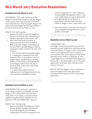# **NLG March 2017 Executive Resolutions**

#### **Resolution 2017/19/ March 23, 2017**

CONSIDERJNG THAT under section 29 of the Nisga'a Financial Administration Act, the Nisga'a Lisims Government Executive (the "Executive") must recommend to Wilp Si'ayuukhl Nisga'a the draft provisional budget for the Nisga'a Nation for the next fiscal year by March 27, 2017;

MOVED THAT the Executive

- 1. approve the draft provisional budget for the 2017/2018 fiscal year, substantially in the form attached to this motion; and
- 2. direct the Chief Financial Officer to prepare a letter from the Executive to Wilp Si'ayuukhl Nisga'a, to be tabled at the next Wilp Si'ayuukhl Nisga'a meeting scheduled to begin on March 28, 2016, that includes:
	- a. the recommended provisional budget;

b. a statement, prepared by the Chief Financial Officer in accordance with the Nisga'a Nation established accounting policies, of the revenue and expenditure of the Nisga'a Nation from the end of the fiscal year to the most recent date practicable; and

c. a copy of the audited financial statements for the Nisga'a Nation for the most recently completed fiscal year.

### 

#### **Resolution 2017/20/ March 23, 2017**

CONSIDERlNG THAT pursuant to section 22 of the Nisga'a Fisheries and Wildlife Act, the Nisga'a Lisims Government Executive (the "Executive") must adopt a proposed annual wildlife management plan prepared by the Director of Fish and Wildlife (the "Director");

MOVED THAT the Executive:

1. approve and adopt the proposed Nisga'a Annual Wildlife Management Plan for 2017/2018 prepared by the Director, substantially in the form attached to this motion as Appendix "A"" (the "Proposed Annual Wildlife Management Plan"), with such modifications as may be determined to be appropriate by the Director in consultation with the Chief Executive Officer of Nisga'a Lisims Government, and

2. direct the Director to forward the Proposed Annual Wildlife Management Plan to the Wildlife Committee.

#### **Resolution 2017/21/ March 23, 2017**

#### CONSIDERING THAT

the Nisga'a Lisims Government Executive has reviewed a project application submitted by the Executive Director of Nisga'a Lisims Government to the Coast Opportunity Fund on January 27, 2017 entitled "Nass Avian Species at Risk Study" attached to this motion as Appendix "A" (the "Coast Opportunity Fund Nass Avian Species at Risk Study"); the total project cost of the Coast Oppmiunity Fund Nass Avian Species at Risk Study is \$197,000;

MOVED THAT the Nisga'a Lisims Government Executive approve the Coast Opportunity Fund Nass Avian Species at Risk Study project application.

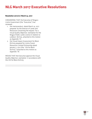### **NLG March 2017 Executive Resolutions**

#### **Resolution 2017/21/ March 23, 2017**

CONSIDERING THAT the Executive of Nisga'a Lisims Government (the "Executive") has reviewed:

- 1. the memorandum dated March 14, 2017 prepared by the Director of Lands and Resources concerning the request for a Visual Quality Objective exemption for the Nisga'a Public Lands Licence in relation to cutblock DLK105, attached to this motion as Appendix "A";
- 2. the Visual Impact Assessment for Block DLK105 prepared for Lisims Forest Resources Limited Pmtnership dated January 2, 2017 (the "VIA for Block DLK105") attached to this motion as Appendix "B";

MOVED THAT the Executive approve the Visual Quality Objective exemption in accordance with the VIA for Block DLK105.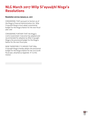### **NLG March 2017 Wilp Si'ayuukhl Nisga'a Resolutions**

#### **Resolution 2017/5/ January 31, 2017**

CONSIDERING THAT pursuant to Section 30 of the Nisga'a Financial Administration Act, Wilp Si'ayuukhl Nisga'a must adopt a provisional budget for the Nisga'a Nation for the next fiscal year; and

CONSIDERING FURTHER THAT the Nisga'a Lisims Government Executive has adopted and recommended for adoption by Wilp Si'ayuukhl Nisga'a the provisional budget for the Nisga'a Nation for the next fiscal year;

NOW THEREFORE IT IS MOVED THAT Wilp Si'ayuukhl Nisga'a hereby adopts the provisional budget for the Nisga'a Nation for the 2017/2018 fiscal year, attached as Appendix "A" to this motion.